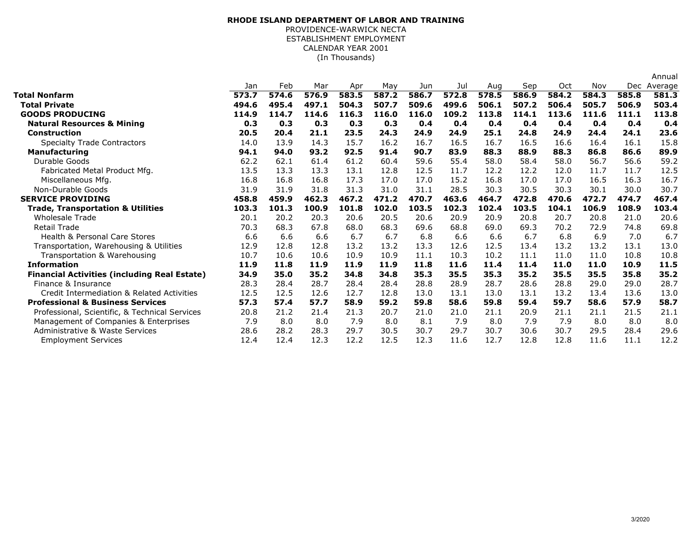## (In Thousands)**RHODE ISLAND DEPARTMENT OF LABOR AND TRAINING**PROVIDENCE-WARWICK NECTA ESTABLISHMENT EMPLOYMENTCALENDAR YEAR 2001

|                                                     |       |       |       |       |       |       |       |       |       |       |       |       | Annual  |
|-----------------------------------------------------|-------|-------|-------|-------|-------|-------|-------|-------|-------|-------|-------|-------|---------|
|                                                     | Jan   | Feb   | Mar   | Apr   | May   | Jun   | Jul   | Aug   | Sep   | Oct   | Nov   | Dec   | Average |
| Total Nonfarm                                       | 573.7 | 574.6 | 576.9 | 583.5 | 587.2 | 586.7 | 572.8 | 578.5 | 586.9 | 584.2 | 584.3 | 585.8 | 581.3   |
| <b>Total Private</b>                                | 494.6 | 495.4 | 497.1 | 504.3 | 507.7 | 509.6 | 499.6 | 506.1 | 507.2 | 506.4 | 505.7 | 506.9 | 503.4   |
| <b>GOODS PRODUCING</b>                              | 114.9 | 114.7 | 114.6 | 116.3 | 116.0 | 116.0 | 109.2 | 113.8 | 114.1 | 113.6 | 111.6 | 111.1 | 113.8   |
| <b>Natural Resources &amp; Mining</b>               | 0.3   | 0.3   | 0.3   | 0.3   | 0.3   | 0.4   | 0.4   | 0.4   | 0.4   | 0.4   | 0.4   | 0.4   | 0.4     |
| <b>Construction</b>                                 | 20.5  | 20.4  | 21.1  | 23.5  | 24.3  | 24.9  | 24.9  | 25.1  | 24.8  | 24.9  | 24.4  | 24.1  | 23.6    |
| <b>Specialty Trade Contractors</b>                  | 14.0  | 13.9  | 14.3  | 15.7  | 16.2  | 16.7  | 16.5  | 16.7  | 16.5  | 16.6  | 16.4  | 16.1  | 15.8    |
| <b>Manufacturing</b>                                | 94.1  | 94.0  | 93.2  | 92.5  | 91.4  | 90.7  | 83.9  | 88.3  | 88.9  | 88.3  | 86.8  | 86.6  | 89.9    |
| Durable Goods                                       | 62.2  | 62.1  | 61.4  | 61.2  | 60.4  | 59.6  | 55.4  | 58.0  | 58.4  | 58.0  | 56.7  | 56.6  | 59.2    |
| Fabricated Metal Product Mfg.                       | 13.5  | 13.3  | 13.3  | 13.1  | 12.8  | 12.5  | 11.7  | 12.2  | 12.2  | 12.0  | 11.7  | 11.7  | 12.5    |
| Miscellaneous Mfg.                                  | 16.8  | 16.8  | 16.8  | 17.3  | 17.0  | 17.0  | 15.2  | 16.8  | 17.0  | 17.0  | 16.5  | 16.3  | 16.7    |
| Non-Durable Goods                                   | 31.9  | 31.9  | 31.8  | 31.3  | 31.0  | 31.1  | 28.5  | 30.3  | 30.5  | 30.3  | 30.1  | 30.0  | 30.7    |
| <b>SERVICE PROVIDING</b>                            | 458.8 | 459.9 | 462.3 | 467.2 | 471.2 | 470.7 | 463.6 | 464.7 | 472.8 | 470.6 | 472.7 | 474.7 | 467.4   |
| <b>Trade, Transportation &amp; Utilities</b>        | 103.3 | 101.3 | 100.9 | 101.8 | 102.0 | 103.5 | 102.3 | 102.4 | 103.5 | 104.1 | 106.9 | 108.9 | 103.4   |
| <b>Wholesale Trade</b>                              | 20.1  | 20.2  | 20.3  | 20.6  | 20.5  | 20.6  | 20.9  | 20.9  | 20.8  | 20.7  | 20.8  | 21.0  | 20.6    |
| <b>Retail Trade</b>                                 | 70.3  | 68.3  | 67.8  | 68.0  | 68.3  | 69.6  | 68.8  | 69.0  | 69.3  | 70.2  | 72.9  | 74.8  | 69.8    |
| Health & Personal Care Stores                       | 6.6   | 6.6   | 6.6   | 6.7   | 6.7   | 6.8   | 6.6   | 6.6   | 6.7   | 6.8   | 6.9   | 7.0   | 6.7     |
| Transportation, Warehousing & Utilities             | 12.9  | 12.8  | 12.8  | 13.2  | 13.2  | 13.3  | 12.6  | 12.5  | 13.4  | 13.2  | 13.2  | 13.1  | 13.0    |
| Transportation & Warehousing                        | 10.7  | 10.6  | 10.6  | 10.9  | 10.9  | 11.1  | 10.3  | 10.2  | 11.1  | 11.0  | 11.0  | 10.8  | 10.8    |
| <b>Information</b>                                  | 11.9  | 11.8  | 11.9  | 11.9  | 11.9  | 11.8  | 11.6  | 11.4  | 11.4  | 11.0  | 11.0  | 10.9  | 11.5    |
| <b>Financial Activities (including Real Estate)</b> | 34.9  | 35.0  | 35.2  | 34.8  | 34.8  | 35.3  | 35.5  | 35.3  | 35.2  | 35.5  | 35.5  | 35.8  | 35.2    |
| Finance & Insurance                                 | 28.3  | 28.4  | 28.7  | 28.4  | 28.4  | 28.8  | 28.9  | 28.7  | 28.6  | 28.8  | 29.0  | 29.0  | 28.7    |
| Credit Intermediation & Related Activities          | 12.5  | 12.5  | 12.6  | 12.7  | 12.8  | 13.0  | 13.1  | 13.0  | 13.1  | 13.2  | 13.4  | 13.6  | 13.0    |
| <b>Professional &amp; Business Services</b>         | 57.3  | 57.4  | 57.7  | 58.9  | 59.2  | 59.8  | 58.6  | 59.8  | 59.4  | 59.7  | 58.6  | 57.9  | 58.7    |
| Professional, Scientific, & Technical Services      | 20.8  | 21.2  | 21.4  | 21.3  | 20.7  | 21.0  | 21.0  | 21.1  | 20.9  | 21.1  | 21.1  | 21.5  | 21.1    |
| Management of Companies & Enterprises               | 7.9   | 8.0   | 8.0   | 7.9   | 8.0   | 8.1   | 7.9   | 8.0   | 7.9   | 7.9   | 8.0   | 8.0   | 8.0     |
| Administrative & Waste Services                     | 28.6  | 28.2  | 28.3  | 29.7  | 30.5  | 30.7  | 29.7  | 30.7  | 30.6  | 30.7  | 29.5  | 28.4  | 29.6    |
| <b>Employment Services</b>                          | 12.4  | 12.4  | 12.3  | 12.2  | 12.5  | 12.3  | 11.6  | 12.7  | 12.8  | 12.8  | 11.6  | 11.1  | 12.2    |
|                                                     |       |       |       |       |       |       |       |       |       |       |       |       |         |